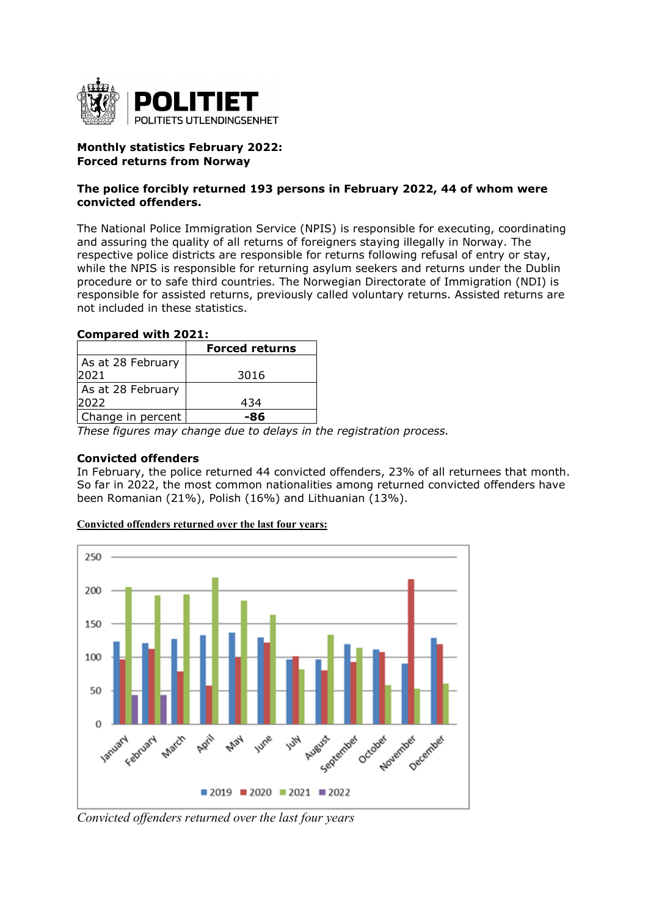

# **Monthly statistics February 2022: Forced returns from Norway**

## **The police forcibly returned 193 persons in February 2022, 44 of whom were convicted offenders.**

The National Police Immigration Service (NPIS) is responsible for executing, coordinating and assuring the quality of all returns of foreigners staying illegally in Norway. The respective police districts are responsible for returns following refusal of entry or stay, while the NPIS is responsible for returning asylum seekers and returns under the Dublin procedure or to safe third countries. The Norwegian Directorate of Immigration (NDI) is responsible for assisted returns, previously called voluntary returns. Assisted returns are not included in these statistics.

## **Compared with 2021:**

|                   | <b>Forced returns</b> |
|-------------------|-----------------------|
| As at 28 February |                       |
| 2021              | 3016                  |
| As at 28 February |                       |
| 2022              | 434                   |
| Change in percent |                       |

*These figures may change due to delays in the registration process.* 

### **Convicted offenders**

In February, the police returned 44 convicted offenders, 23% of all returnees that month. So far in 2022, the most common nationalities among returned convicted offenders have been Romanian (21%), Polish (16%) and Lithuanian (13%).



#### **Convicted offenders returned over the last four years:**

*Convicted offenders returned over the last four years*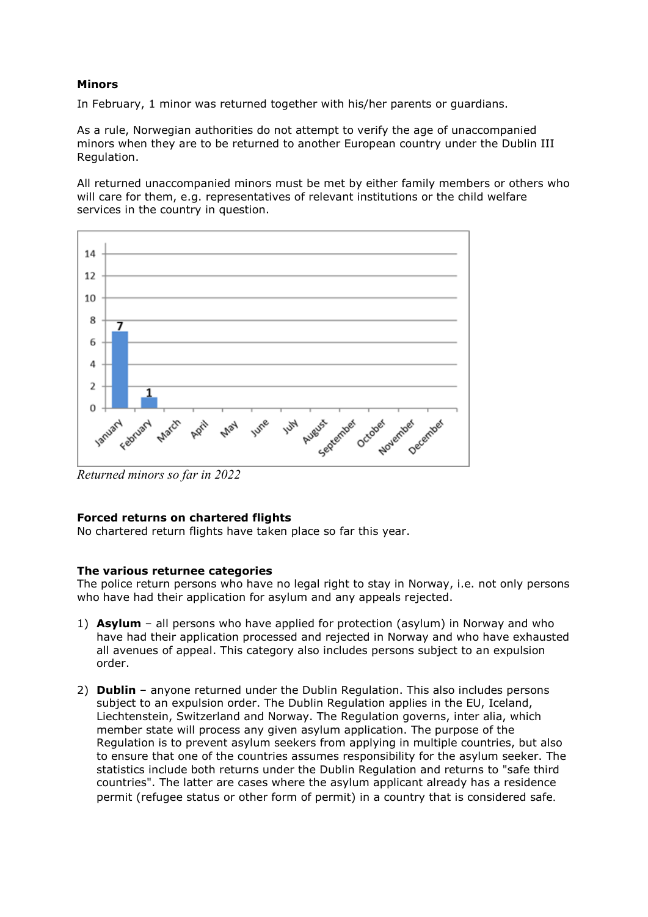# **Minors**

In February, 1 minor was returned together with his/her parents or guardians.

As a rule, Norwegian authorities do not attempt to verify the age of unaccompanied minors when they are to be returned to another European country under the Dublin III Regulation.

All returned unaccompanied minors must be met by either family members or others who will care for them, e.g. representatives of relevant institutions or the child welfare services in the country in question.



*Returned minors so far in 2022* 

#### **Forced returns on chartered flights**

No chartered return flights have taken place so far this year.

### **The various returnee categories**

The police return persons who have no legal right to stay in Norway, i.e. not only persons who have had their application for asylum and any appeals rejected.

- 1) **Asylum**  all persons who have applied for protection (asylum) in Norway and who have had their application processed and rejected in Norway and who have exhausted all avenues of appeal. This category also includes persons subject to an expulsion order.
- 2) **Dublin** anyone returned under the Dublin Regulation. This also includes persons subject to an expulsion order. The Dublin Regulation applies in the EU, Iceland, Liechtenstein, Switzerland and Norway. The Regulation governs, inter alia, which member state will process any given asylum application. The purpose of the Regulation is to prevent asylum seekers from applying in multiple countries, but also to ensure that one of the countries assumes responsibility for the asylum seeker. The statistics include both returns under the Dublin Regulation and returns to "safe third countries". The latter are cases where the asylum applicant already has a residence permit (refugee status or other form of permit) in a country that is considered safe.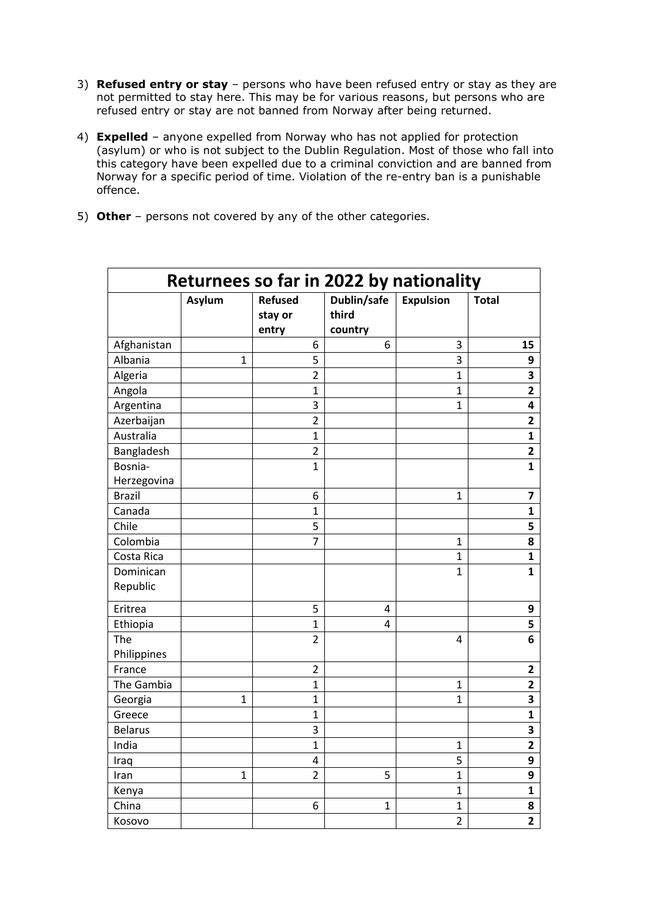- 3) **Refused entry or stay**  persons who have been refused entry or stay as they are not permitted to stay here. This may be for various reasons, but persons who are refused entry or stay are not banned from Norway after being returned.
- 4) **Expelled** anyone expelled from Norway who has not applied for protection (asylum) or who is not subject to the Dublin Regulation. Most of those who fall into this category have been expelled due to a criminal conviction and are banned from Norway for a specific period of time. Violation of the re-entry ban is a punishable offence.
- 5) **Other** persons not covered by any of the other categories.

| Returnees so far in 2022 by nationality |              |                                    |                                 |                  |                         |
|-----------------------------------------|--------------|------------------------------------|---------------------------------|------------------|-------------------------|
|                                         | Asylum       | <b>Refused</b><br>stay or<br>entry | Dublin/safe<br>third<br>country | <b>Expulsion</b> | <b>Total</b>            |
| Afghanistan                             |              | 6                                  | 6                               | 3                | 15                      |
| Albania                                 | $\mathbf{1}$ | 5                                  |                                 | 3                | 9                       |
| Algeria                                 |              | $\overline{2}$                     |                                 | $\overline{1}$   | 3                       |
| Angola                                  |              | $\mathbf{1}$                       |                                 | $\overline{1}$   | $\overline{\mathbf{2}}$ |
| Argentina                               |              | 3                                  |                                 | $\mathbf{1}$     | 4                       |
| Azerbaijan                              |              | $\overline{2}$                     |                                 |                  | $\overline{\mathbf{c}}$ |
| Australia                               |              | $\mathbf{1}$                       |                                 |                  | $\mathbf{1}$            |
| Bangladesh                              |              | $\overline{2}$                     |                                 |                  | $\overline{\mathbf{2}}$ |
| Bosnia-<br>Herzegovina                  |              | $\mathbf{1}$                       |                                 |                  | $\mathbf{1}$            |
| <b>Brazil</b>                           |              | 6                                  |                                 | 1                | 7                       |
| Canada                                  |              | $\mathbf{1}$                       |                                 |                  | $\mathbf{1}$            |
| Chile                                   |              | 5                                  |                                 |                  | 5                       |
| Colombia                                |              | $\overline{7}$                     |                                 | $\mathbf{1}$     | 8                       |
| Costa Rica                              |              |                                    |                                 | $\mathbf{1}$     | 1                       |
| Dominican<br>Republic                   |              |                                    |                                 | $\mathbf{1}$     | 1                       |
| Eritrea                                 |              | 5                                  | 4                               |                  | 9                       |
| Ethiopia                                |              | 1                                  | 4                               |                  | 5                       |
| The<br>Philippines                      |              | $\overline{2}$                     |                                 | 4                | 6                       |
| France                                  |              | $\overline{2}$                     |                                 |                  | $\overline{\mathbf{2}}$ |
| The Gambia                              |              | $\mathbf{1}$                       |                                 | 1                | 2                       |
| Georgia                                 | $\mathbf{1}$ | 1                                  |                                 | $\mathbf{1}$     | 3                       |
| Greece                                  |              | $\mathbf{1}$                       |                                 |                  | $\mathbf{1}$            |
| <b>Belarus</b>                          |              | 3                                  |                                 |                  | 3                       |
| India                                   |              | $\mathbf{1}$                       |                                 | $\mathbf{1}$     | $\overline{\mathbf{2}}$ |
| Iraq                                    |              | 4                                  |                                 | 5                | 9                       |
| Iran                                    | 1            | $\overline{2}$                     | 5                               | 1                | 9                       |
| Kenya                                   |              |                                    |                                 | $\mathbf{1}$     | $\mathbf{1}$            |
| China                                   |              | 6                                  | $\mathbf{1}$                    | $\mathbf{1}$     | 8                       |
| Kosovo                                  |              |                                    |                                 | $\overline{2}$   | $\overline{2}$          |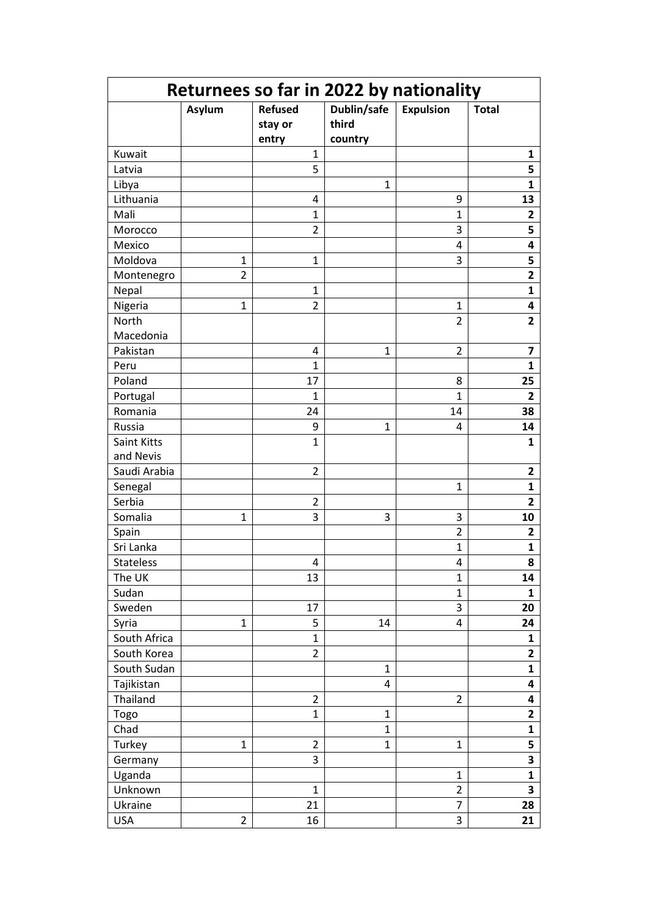| Returnees so far in 2022 by nationality |                |                                    |                                 |                  |                         |
|-----------------------------------------|----------------|------------------------------------|---------------------------------|------------------|-------------------------|
|                                         | Asylum         | <b>Refused</b><br>stay or<br>entry | Dublin/safe<br>third<br>country | <b>Expulsion</b> | <b>Total</b>            |
| Kuwait                                  |                | 1                                  |                                 |                  | 1                       |
| Latvia                                  |                | 5                                  |                                 |                  | 5                       |
| Libya                                   |                |                                    | $\mathbf{1}$                    |                  | $\mathbf{1}$            |
| Lithuania                               |                | 4                                  |                                 | 9                | 13                      |
| Mali                                    |                | 1                                  |                                 | $\mathbf{1}$     | 2                       |
| Morocco                                 |                | $\overline{2}$                     |                                 | 3                | 5                       |
| Mexico                                  |                |                                    |                                 | 4                | 4                       |
| Moldova                                 | 1              | 1                                  |                                 | 3                | 5                       |
| Montenegro                              | $\overline{2}$ |                                    |                                 |                  | $\overline{\mathbf{c}}$ |
| Nepal                                   |                | $\mathbf{1}$                       |                                 |                  | $\mathbf{1}$            |
| Nigeria                                 | $\mathbf{1}$   | $\overline{2}$                     |                                 | $\mathbf{1}$     | 4                       |
| North                                   |                |                                    |                                 | $\overline{2}$   | $\overline{2}$          |
| Macedonia                               |                |                                    |                                 |                  |                         |
| Pakistan                                |                | 4                                  | $\mathbf{1}$                    | $\overline{2}$   | $\overline{\mathbf{z}}$ |
| Peru                                    |                | $\mathbf{1}$                       |                                 |                  | 1                       |
| Poland                                  |                | 17                                 |                                 | 8                | 25                      |
| Portugal                                |                | 1                                  |                                 | $\mathbf{1}$     | 2                       |
| Romania                                 |                | 24                                 |                                 | 14               | 38                      |
| Russia                                  |                | 9                                  | $\mathbf{1}$                    | 4                | 14                      |
| Saint Kitts                             |                | 1                                  |                                 |                  | 1                       |
| and Nevis                               |                |                                    |                                 |                  |                         |
| Saudi Arabia                            |                | $\overline{2}$                     |                                 |                  | $\mathbf{2}$            |
| Senegal                                 |                |                                    |                                 | $\mathbf{1}$     | 1                       |
| Serbia                                  |                | $\overline{2}$                     |                                 |                  | $\overline{2}$          |
| Somalia                                 | 1              | 3                                  | 3                               | 3                | 10                      |
| Spain                                   |                |                                    |                                 | $\overline{2}$   | 2                       |
| Sri Lanka                               |                |                                    |                                 | $\mathbf{1}$     | 1                       |
| Stateless                               |                | 4                                  |                                 | 4                | 8                       |
| The UK                                  |                | 13                                 |                                 | $\mathbf{1}$     | 14                      |
| Sudan                                   |                |                                    |                                 | $\mathbf{1}$     | $\mathbf{1}$            |
| Sweden                                  |                | 17                                 |                                 | 3                | 20                      |
| Syria                                   | 1              | 5                                  | 14                              | 4                | 24                      |
| South Africa                            |                | $\mathbf{1}$                       |                                 |                  | $\mathbf{1}$            |
| South Korea                             |                | $\overline{2}$                     |                                 |                  | $\overline{\mathbf{2}}$ |
| South Sudan                             |                |                                    | $\mathbf{1}$                    |                  | 1                       |
| Tajikistan                              |                |                                    | 4                               |                  | 4                       |
| Thailand                                |                | $\overline{2}$                     |                                 | $\overline{2}$   | 4                       |
| Togo                                    |                | $\mathbf{1}$                       | $\mathbf{1}$                    |                  | $\overline{\mathbf{2}}$ |
| Chad                                    |                |                                    | $\mathbf{1}$                    |                  | $\mathbf{1}$            |
| Turkey                                  | $\mathbf{1}$   | $\overline{2}$                     | $\mathbf{1}$                    | $\mathbf{1}$     | 5                       |
| Germany                                 |                | 3                                  |                                 |                  | 3                       |
| Uganda                                  |                |                                    |                                 | $\mathbf{1}$     | 1                       |
| Unknown                                 |                | $\mathbf{1}$                       |                                 | $\overline{2}$   | 3                       |
| Ukraine                                 |                | 21                                 |                                 | $\overline{7}$   | 28                      |
| <b>USA</b>                              | $\overline{2}$ | 16                                 |                                 | 3                | 21                      |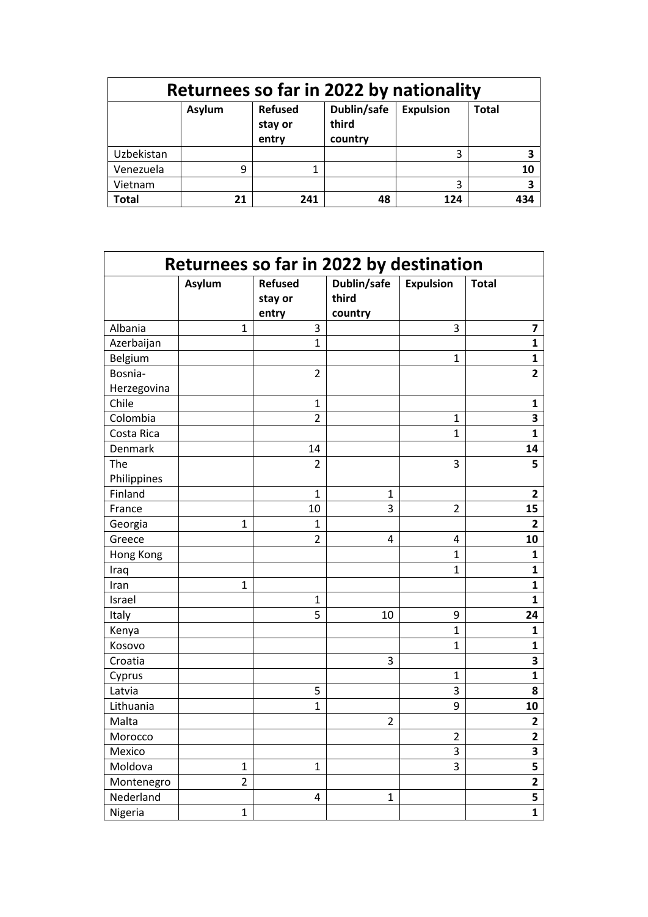| Returnees so far in 2022 by nationality |        |                                    |                                 |                  |              |  |  |
|-----------------------------------------|--------|------------------------------------|---------------------------------|------------------|--------------|--|--|
|                                         | Asylum | <b>Refused</b><br>stay or<br>entry | Dublin/safe<br>third<br>country | <b>Expulsion</b> | <b>Total</b> |  |  |
| Uzbekistan                              |        |                                    |                                 | 3                | 3            |  |  |
| Venezuela                               | q      |                                    |                                 |                  | 10           |  |  |
| Vietnam                                 |        |                                    |                                 | 3                | 3            |  |  |
| <b>Total</b>                            | 21     | 241                                | 48                              | 124              | 434          |  |  |

| Returnees so far in 2022 by destination |                |                                    |                                 |                  |                         |
|-----------------------------------------|----------------|------------------------------------|---------------------------------|------------------|-------------------------|
|                                         | Asylum         | <b>Refused</b><br>stay or<br>entry | Dublin/safe<br>third<br>country | <b>Expulsion</b> | <b>Total</b>            |
| Albania                                 | 1              | 3                                  |                                 | 3                | $\overline{\mathbf{z}}$ |
| Azerbaijan                              |                | $\mathbf{1}$                       |                                 |                  | $\mathbf{1}$            |
| Belgium                                 |                |                                    |                                 | $\mathbf{1}$     | $\mathbf{1}$            |
| Bosnia-                                 |                | $\overline{2}$                     |                                 |                  | $\overline{\mathbf{2}}$ |
| Herzegovina                             |                |                                    |                                 |                  |                         |
| Chile                                   |                | $\mathbf{1}$                       |                                 |                  | 1                       |
| Colombia                                |                | $\overline{2}$                     |                                 | $\mathbf{1}$     | 3                       |
| Costa Rica                              |                |                                    |                                 | $\mathbf{1}$     | $\mathbf{1}$            |
| Denmark                                 |                | 14                                 |                                 |                  | 14                      |
| The<br>Philippines                      |                | $\overline{2}$                     |                                 | 3                | 5                       |
| Finland                                 |                | $\mathbf{1}$                       | 1                               |                  | 2                       |
| France                                  |                | 10                                 | 3                               | $\overline{2}$   | 15                      |
| Georgia                                 | $\mathbf{1}$   | $\overline{1}$                     |                                 |                  | 2                       |
| Greece                                  |                | $\overline{2}$                     | $\overline{\mathbf{4}}$         | 4                | 10                      |
| Hong Kong                               |                |                                    |                                 | $\mathbf{1}$     | $\mathbf{1}$            |
| Iraq                                    |                |                                    |                                 | $\mathbf{1}$     | $\mathbf{1}$            |
| Iran                                    | $\mathbf{1}$   |                                    |                                 |                  | $\mathbf{1}$            |
| Israel                                  |                | 1                                  |                                 |                  | $\mathbf{1}$            |
| Italy                                   |                | 5                                  | 10                              | 9                | 24                      |
| Kenya                                   |                |                                    |                                 | $\overline{1}$   | $\mathbf{1}$            |
| Kosovo                                  |                |                                    |                                 | $\mathbf{1}$     | $\mathbf{1}$            |
| Croatia                                 |                |                                    | 3                               |                  | 3                       |
| Cyprus                                  |                |                                    |                                 | 1                | $\mathbf{1}$            |
| Latvia                                  |                | 5                                  |                                 | 3                | 8                       |
| Lithuania                               |                | $\overline{1}$                     |                                 | 9                | 10                      |
| Malta                                   |                |                                    | $\overline{2}$                  |                  | $\overline{\mathbf{2}}$ |
| Morocco                                 |                |                                    |                                 | $\overline{2}$   | $\overline{2}$          |
| Mexico                                  |                |                                    |                                 | 3                | 3                       |
| Moldova                                 | 1              | 1                                  |                                 | 3                | 5                       |
| Montenegro                              | $\overline{2}$ |                                    |                                 |                  | $\overline{2}$          |
| Nederland                               |                | 4                                  | $\mathbf{1}$                    |                  | $\overline{\mathbf{5}}$ |
| Nigeria                                 | 1              |                                    |                                 |                  | $\mathbf{1}$            |